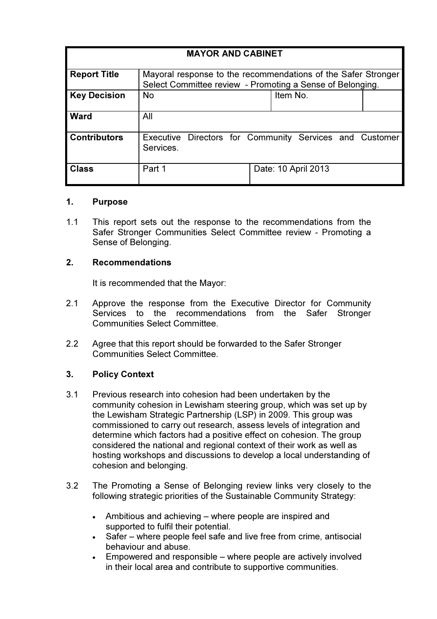| <b>MAYOR AND CABINET</b> |                                                               |                                                         |  |
|--------------------------|---------------------------------------------------------------|---------------------------------------------------------|--|
|                          |                                                               |                                                         |  |
| <b>Report Title</b>      | Mayoral response to the recommendations of the Safer Stronger |                                                         |  |
|                          | Select Committee review - Promoting a Sense of Belonging.     |                                                         |  |
| <b>Key Decision</b>      | <b>No</b>                                                     | Item No.                                                |  |
|                          |                                                               |                                                         |  |
| <b>Ward</b>              | All                                                           |                                                         |  |
|                          |                                                               |                                                         |  |
| <b>Contributors</b>      |                                                               | Executive Directors for Community Services and Customer |  |
|                          | Services.                                                     |                                                         |  |
|                          |                                                               |                                                         |  |
| <b>Class</b>             | Part 1                                                        | Date: 10 April 2013                                     |  |
|                          |                                                               |                                                         |  |

### 1. Purpose

1.1 This report sets out the response to the recommendations from the Safer Stronger Communities Select Committee review - Promoting a Sense of Belonging.

## 2. Recommendations

It is recommended that the Mayor:

- 2.1 Approve the response from the Executive Director for Community Services to the recommendations from the Safer Stronger Communities Select Committee.
- 2.2 Agree that this report should be forwarded to the Safer Stronger Communities Select Committee.

## 3. Policy Context

- 3.1 Previous research into cohesion had been undertaken by the community cohesion in Lewisham steering group, which was set up by the Lewisham Strategic Partnership (LSP) in 2009. This group was commissioned to carry out research, assess levels of integration and determine which factors had a positive effect on cohesion. The group considered the national and regional context of their work as well as hosting workshops and discussions to develop a local understanding of cohesion and belonging.
- 3.2 The Promoting a Sense of Belonging review links very closely to the following strategic priorities of the Sustainable Community Strategy:
	- Ambitious and achieving where people are inspired and supported to fulfil their potential.
	- Safer where people feel safe and live free from crime, antisocial behaviour and abuse.
	- Empowered and responsible where people are actively involved in their local area and contribute to supportive communities.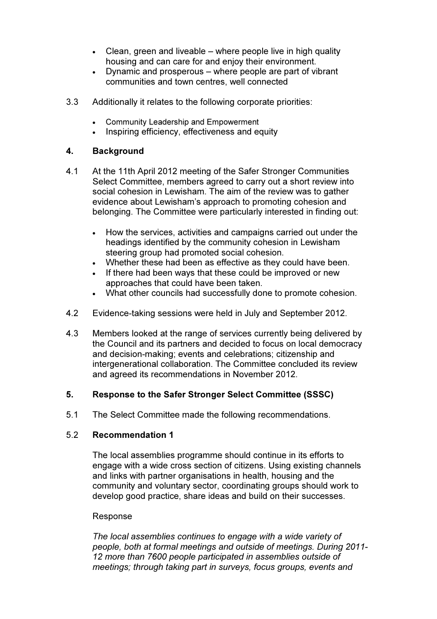- Clean, green and liveable where people live in high quality housing and can care for and enjoy their environment.
- Dynamic and prosperous where people are part of vibrant communities and town centres, well connected
- 3.3 Additionally it relates to the following corporate priorities:
	- Community Leadership and Empowerment
	- Inspiring efficiency, effectiveness and equity

## 4. Background

- 4.1 At the 11th April 2012 meeting of the Safer Stronger Communities Select Committee, members agreed to carry out a short review into social cohesion in Lewisham. The aim of the review was to gather evidence about Lewisham's approach to promoting cohesion and belonging. The Committee were particularly interested in finding out:
	- How the services, activities and campaigns carried out under the headings identified by the community cohesion in Lewisham steering group had promoted social cohesion.
	- Whether these had been as effective as they could have been.
	- If there had been ways that these could be improved or new approaches that could have been taken.
	- What other councils had successfully done to promote cohesion.
- 4.2 Evidence-taking sessions were held in July and September 2012.
- 4.3 Members looked at the range of services currently being delivered by the Council and its partners and decided to focus on local democracy and decision-making; events and celebrations; citizenship and intergenerational collaboration. The Committee concluded its review and agreed its recommendations in November 2012.

## 5. Response to the Safer Stronger Select Committee (SSSC)

5.1 The Select Committee made the following recommendations.

## 5.2 Recommendation 1

The local assemblies programme should continue in its efforts to engage with a wide cross section of citizens. Using existing channels and links with partner organisations in health, housing and the community and voluntary sector, coordinating groups should work to develop good practice, share ideas and build on their successes.

#### Response

The local assemblies continues to engage with a wide variety of people, both at formal meetings and outside of meetings. During 2011- 12 more than 7600 people participated in assemblies outside of meetings; through taking part in surveys, focus groups, events and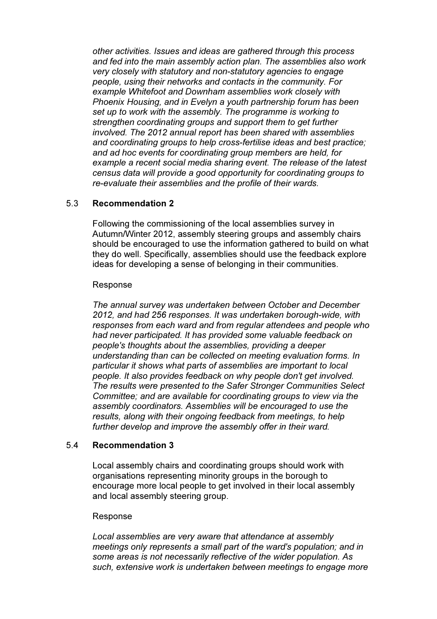other activities. Issues and ideas are gathered through this process and fed into the main assembly action plan. The assemblies also work very closely with statutory and non-statutory agencies to engage people, using their networks and contacts in the community. For example Whitefoot and Downham assemblies work closely with Phoenix Housing, and in Evelyn a youth partnership forum has been set up to work with the assembly. The programme is working to strengthen coordinating groups and support them to get further involved. The 2012 annual report has been shared with assemblies and coordinating groups to help cross-fertilise ideas and best practice; and ad hoc events for coordinating group members are held, for example a recent social media sharing event. The release of the latest census data will provide a good opportunity for coordinating groups to re-evaluate their assemblies and the profile of their wards.

## 5.3 Recommendation 2

Following the commissioning of the local assemblies survey in Autumn/Winter 2012, assembly steering groups and assembly chairs should be encouraged to use the information gathered to build on what they do well. Specifically, assemblies should use the feedback explore ideas for developing a sense of belonging in their communities.

#### Response

The annual survey was undertaken between October and December 2012, and had 256 responses. It was undertaken borough-wide, with responses from each ward and from regular attendees and people who had never participated. It has provided some valuable feedback on people's thoughts about the assemblies, providing a deeper understanding than can be collected on meeting evaluation forms. In particular it shows what parts of assemblies are important to local people. It also provides feedback on why people don't get involved. The results were presented to the Safer Stronger Communities Select Committee; and are available for coordinating groups to view via the assembly coordinators. Assemblies will be encouraged to use the results, along with their ongoing feedback from meetings, to help further develop and improve the assembly offer in their ward.

## 5.4 Recommendation 3

Local assembly chairs and coordinating groups should work with organisations representing minority groups in the borough to encourage more local people to get involved in their local assembly and local assembly steering group.

#### Response

Local assemblies are very aware that attendance at assembly meetings only represents a small part of the ward's population; and in some areas is not necessarily reflective of the wider population. As such, extensive work is undertaken between meetings to engage more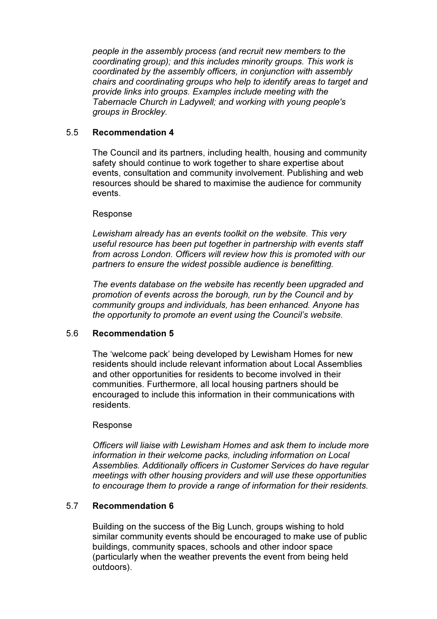people in the assembly process (and recruit new members to the coordinating group); and this includes minority groups. This work is coordinated by the assembly officers, in conjunction with assembly chairs and coordinating groups who help to identify areas to target and provide links into groups. Examples include meeting with the Tabernacle Church in Ladywell; and working with young people's groups in Brockley.

## 5.5 Recommendation 4

The Council and its partners, including health, housing and community safety should continue to work together to share expertise about events, consultation and community involvement. Publishing and web resources should be shared to maximise the audience for community events.

## Response

Lewisham already has an events toolkit on the website. This very useful resource has been put together in partnership with events staff from across London. Officers will review how this is promoted with our partners to ensure the widest possible audience is benefitting.

The events database on the website has recently been upgraded and promotion of events across the borough, run by the Council and by community groups and individuals, has been enhanced. Anyone has the opportunity to promote an event using the Council's website.

## 5.6 Recommendation 5

The 'welcome pack' being developed by Lewisham Homes for new residents should include relevant information about Local Assemblies and other opportunities for residents to become involved in their communities. Furthermore, all local housing partners should be encouraged to include this information in their communications with residents.

## Response

Officers will liaise with Lewisham Homes and ask them to include more information in their welcome packs, including information on Local Assemblies. Additionally officers in Customer Services do have regular meetings with other housing providers and will use these opportunities to encourage them to provide a range of information for their residents.

# 5.7 Recommendation 6

Building on the success of the Big Lunch, groups wishing to hold similar community events should be encouraged to make use of public buildings, community spaces, schools and other indoor space (particularly when the weather prevents the event from being held outdoors).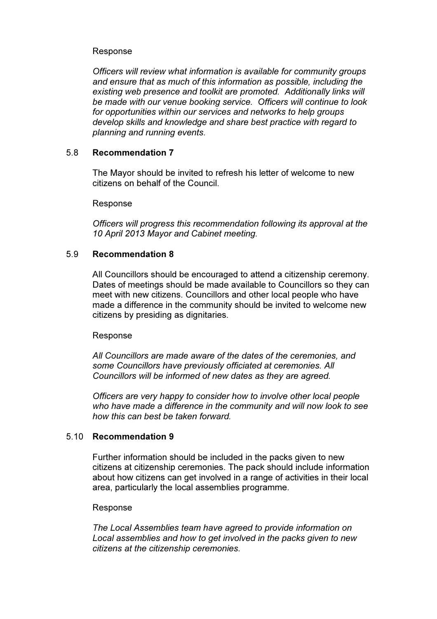## Response

Officers will review what information is available for community groups and ensure that as much of this information as possible, including the existing web presence and toolkit are promoted. Additionally links will be made with our venue booking service. Officers will continue to look for opportunities within our services and networks to help groups develop skills and knowledge and share best practice with regard to planning and running events.

## 5.8 Recommendation 7

The Mayor should be invited to refresh his letter of welcome to new citizens on behalf of the Council.

### Response

Officers will progress this recommendation following its approval at the 10 April 2013 Mayor and Cabinet meeting.

## 5.9 Recommendation 8

All Councillors should be encouraged to attend a citizenship ceremony. Dates of meetings should be made available to Councillors so they can meet with new citizens. Councillors and other local people who have made a difference in the community should be invited to welcome new citizens by presiding as dignitaries.

## Response

All Councillors are made aware of the dates of the ceremonies, and some Councillors have previously officiated at ceremonies. All Councillors will be informed of new dates as they are agreed.

Officers are very happy to consider how to involve other local people who have made a difference in the community and will now look to see how this can best be taken forward.

## 5.10 Recommendation 9

Further information should be included in the packs given to new citizens at citizenship ceremonies. The pack should include information about how citizens can get involved in a range of activities in their local area, particularly the local assemblies programme.

## Response

The Local Assemblies team have agreed to provide information on Local assemblies and how to get involved in the packs given to new citizens at the citizenship ceremonies.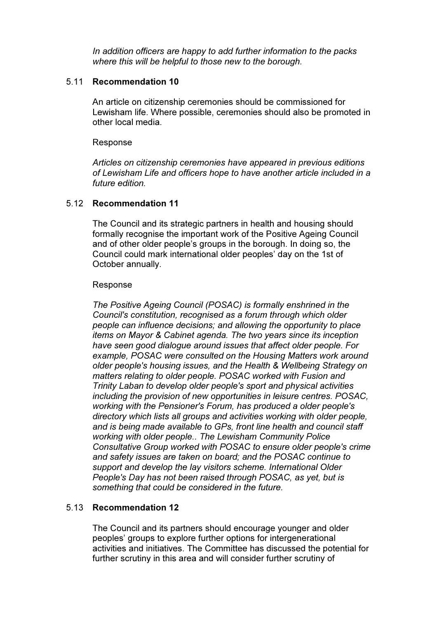In addition officers are happy to add further information to the packs where this will be helpful to those new to the borough.

### 5.11 Recommendation 10

An article on citizenship ceremonies should be commissioned for Lewisham life. Where possible, ceremonies should also be promoted in other local media.

#### Response

Articles on citizenship ceremonies have appeared in previous editions of Lewisham Life and officers hope to have another article included in a future edition.

## 5.12 Recommendation 11

The Council and its strategic partners in health and housing should formally recognise the important work of the Positive Ageing Council and of other older people's groups in the borough. In doing so, the Council could mark international older peoples' day on the 1st of October annually.

### Response

The Positive Ageing Council (POSAC) is formally enshrined in the Council's constitution, recognised as a forum through which older people can influence decisions; and allowing the opportunity to place items on Mayor & Cabinet agenda. The two years since its inception have seen good dialogue around issues that affect older people. For example, POSAC were consulted on the Housing Matters work around older people's housing issues, and the Health & Wellbeing Strategy on matters relating to older people. POSAC worked with Fusion and Trinity Laban to develop older people's sport and physical activities including the provision of new opportunities in leisure centres. POSAC, working with the Pensioner's Forum, has produced a older people's directory which lists all groups and activities working with older people, and is being made available to GPs, front line health and council staff working with older people.. The Lewisham Community Police Consultative Group worked with POSAC to ensure older people's crime and safety issues are taken on board; and the POSAC continue to support and develop the lay visitors scheme. International Older People's Day has not been raised through POSAC, as yet, but is something that could be considered in the future.

## 5.13 Recommendation 12

The Council and its partners should encourage younger and older peoples' groups to explore further options for intergenerational activities and initiatives. The Committee has discussed the potential for further scrutiny in this area and will consider further scrutiny of